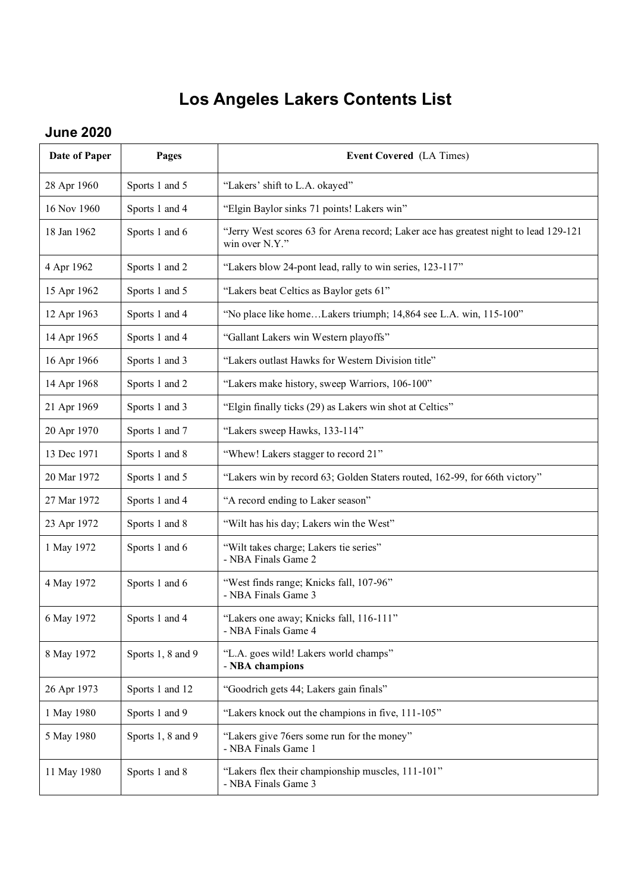## **Los Angeles Lakers Contents List**

## **June 2020**

| Date of Paper | Pages             | <b>Event Covered</b> (LA Times)                                                                        |
|---------------|-------------------|--------------------------------------------------------------------------------------------------------|
| 28 Apr 1960   | Sports 1 and 5    | "Lakers' shift to L.A. okayed"                                                                         |
| 16 Nov 1960   | Sports 1 and 4    | "Elgin Baylor sinks 71 points! Lakers win"                                                             |
| 18 Jan 1962   | Sports 1 and 6    | "Jerry West scores 63 for Arena record; Laker ace has greatest night to lead 129-121<br>win over N.Y." |
| 4 Apr 1962    | Sports 1 and 2    | "Lakers blow 24-pont lead, rally to win series, 123-117"                                               |
| 15 Apr 1962   | Sports 1 and 5    | "Lakers beat Celtics as Baylor gets 61"                                                                |
| 12 Apr 1963   | Sports 1 and 4    | "No place like homeLakers triumph; 14,864 see L.A. win, 115-100"                                       |
| 14 Apr 1965   | Sports 1 and 4    | "Gallant Lakers win Western playoffs"                                                                  |
| 16 Apr 1966   | Sports 1 and 3    | "Lakers outlast Hawks for Western Division title"                                                      |
| 14 Apr 1968   | Sports 1 and 2    | "Lakers make history, sweep Warriors, 106-100"                                                         |
| 21 Apr 1969   | Sports 1 and 3    | "Elgin finally ticks (29) as Lakers win shot at Celtics"                                               |
| 20 Apr 1970   | Sports 1 and 7    | "Lakers sweep Hawks, 133-114"                                                                          |
| 13 Dec 1971   | Sports 1 and 8    | "Whew! Lakers stagger to record 21"                                                                    |
| 20 Mar 1972   | Sports 1 and 5    | "Lakers win by record 63; Golden Staters routed, 162-99, for 66th victory"                             |
| 27 Mar 1972   | Sports 1 and 4    | "A record ending to Laker season"                                                                      |
| 23 Apr 1972   | Sports 1 and 8    | "Wilt has his day; Lakers win the West"                                                                |
| 1 May 1972    | Sports 1 and 6    | "Wilt takes charge; Lakers tie series"<br>- NBA Finals Game 2                                          |
| 4 May 1972    | Sports 1 and 6    | "West finds range; Knicks fall, 107-96"<br>- NBA Finals Game 3                                         |
| 6 May 1972    | Sports 1 and 4    | "Lakers one away; Knicks fall, 116-111"<br>- NBA Finals Game 4                                         |
| 8 May 1972    | Sports 1, 8 and 9 | "L.A. goes wild! Lakers world champs"<br>- NBA champions                                               |
| 26 Apr 1973   | Sports 1 and 12   | "Goodrich gets 44; Lakers gain finals"                                                                 |
| 1 May 1980    | Sports 1 and 9    | "Lakers knock out the champions in five, 111-105"                                                      |
| 5 May 1980    | Sports 1, 8 and 9 | "Lakers give 76ers some run for the money"<br>- NBA Finals Game 1                                      |
| 11 May 1980   | Sports 1 and 8    | "Lakers flex their championship muscles, 111-101"<br>- NBA Finals Game 3                               |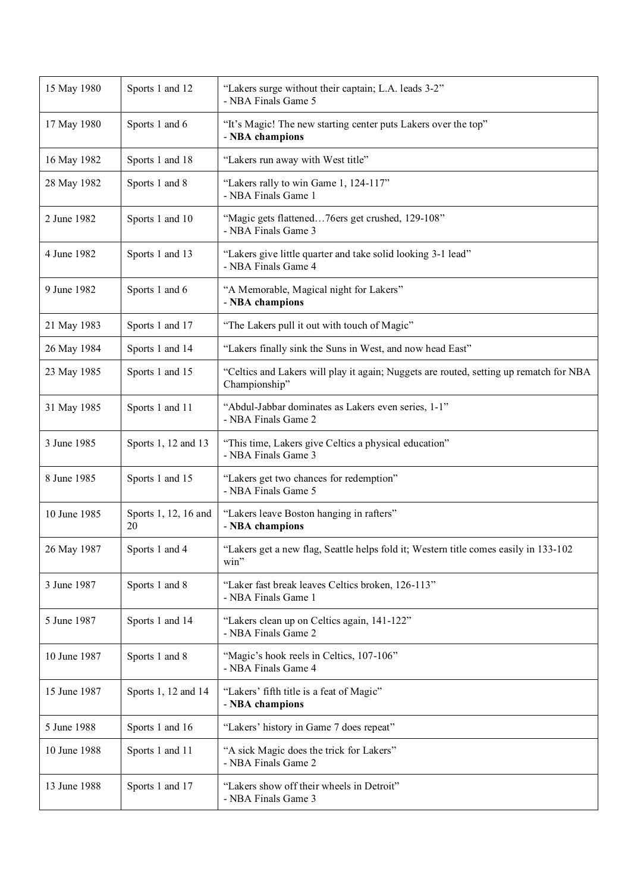| 15 May 1980  | Sports 1 and 12            | "Lakers surge without their captain; L.A. leads 3-2"<br>- NBA Finals Game 5                             |
|--------------|----------------------------|---------------------------------------------------------------------------------------------------------|
| 17 May 1980  | Sports 1 and 6             | "It's Magic! The new starting center puts Lakers over the top"<br>- NBA champions                       |
| 16 May 1982  | Sports 1 and 18            | "Lakers run away with West title"                                                                       |
| 28 May 1982  | Sports 1 and 8             | "Lakers rally to win Game 1, 124-117"<br>- NBA Finals Game 1                                            |
| 2 June 1982  | Sports 1 and 10            | "Magic gets flattened76ers get crushed, 129-108"<br>- NBA Finals Game 3                                 |
| 4 June 1982  | Sports 1 and 13            | "Lakers give little quarter and take solid looking 3-1 lead"<br>- NBA Finals Game 4                     |
| 9 June 1982  | Sports 1 and 6             | "A Memorable, Magical night for Lakers"<br>- NBA champions                                              |
| 21 May 1983  | Sports 1 and 17            | "The Lakers pull it out with touch of Magic"                                                            |
| 26 May 1984  | Sports 1 and 14            | "Lakers finally sink the Suns in West, and now head East"                                               |
| 23 May 1985  | Sports 1 and 15            | "Celtics and Lakers will play it again; Nuggets are routed, setting up rematch for NBA<br>Championship" |
| 31 May 1985  | Sports 1 and 11            | "Abdul-Jabbar dominates as Lakers even series, 1-1"<br>- NBA Finals Game 2                              |
| 3 June 1985  | Sports 1, 12 and 13        | "This time, Lakers give Celtics a physical education"<br>- NBA Finals Game 3                            |
| 8 June 1985  | Sports 1 and 15            | "Lakers get two chances for redemption"<br>- NBA Finals Game 5                                          |
| 10 June 1985 | Sports 1, 12, 16 and<br>20 | "Lakers leave Boston hanging in rafters"<br>- NBA champions                                             |
| 26 May 1987  | Sports 1 and 4             | "Lakers get a new flag, Seattle helps fold it; Western title comes easily in 133-102<br>win"            |
| 3 June 1987  | Sports 1 and 8             | "Laker fast break leaves Celtics broken, 126-113"<br>- NBA Finals Game 1                                |
| 5 June 1987  | Sports 1 and 14            | "Lakers clean up on Celtics again, 141-122"<br>- NBA Finals Game 2                                      |
| 10 June 1987 | Sports 1 and 8             | "Magic's hook reels in Celtics, 107-106"<br>- NBA Finals Game 4                                         |
| 15 June 1987 | Sports 1, 12 and 14        | "Lakers' fifth title is a feat of Magic"<br>- NBA champions                                             |
| 5 June 1988  | Sports 1 and 16            | "Lakers' history in Game 7 does repeat"                                                                 |
| 10 June 1988 | Sports 1 and 11            | "A sick Magic does the trick for Lakers"<br>- NBA Finals Game 2                                         |
| 13 June 1988 | Sports 1 and 17            | "Lakers show off their wheels in Detroit"<br>- NBA Finals Game 3                                        |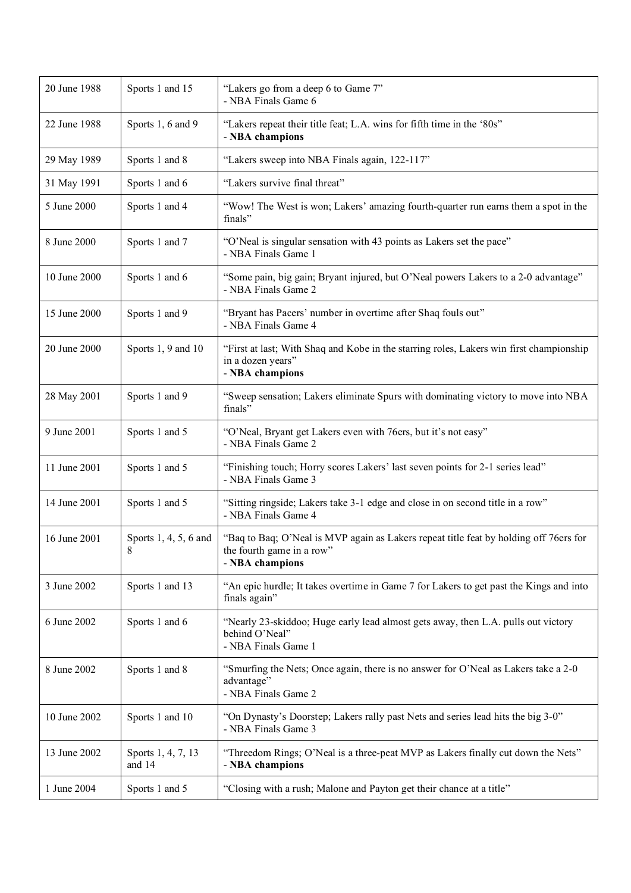| 20 June 1988 | Sports 1 and 15              | "Lakers go from a deep 6 to Game 7"<br>- NBA Finals Game 6                                                                            |
|--------------|------------------------------|---------------------------------------------------------------------------------------------------------------------------------------|
| 22 June 1988 | Sports 1, 6 and 9            | "Lakers repeat their title feat; L.A. wins for fifth time in the '80s"<br>- NBA champions                                             |
| 29 May 1989  | Sports 1 and 8               | "Lakers sweep into NBA Finals again, 122-117"                                                                                         |
| 31 May 1991  | Sports 1 and 6               | "Lakers survive final threat"                                                                                                         |
| 5 June 2000  | Sports 1 and 4               | "Wow! The West is won; Lakers' amazing fourth-quarter run earns them a spot in the<br>finals"                                         |
| 8 June 2000  | Sports 1 and 7               | "O'Neal is singular sensation with 43 points as Lakers set the pace"<br>- NBA Finals Game 1                                           |
| 10 June 2000 | Sports 1 and 6               | "Some pain, big gain; Bryant injured, but O'Neal powers Lakers to a 2-0 advantage"<br>- NBA Finals Game 2                             |
| 15 June 2000 | Sports 1 and 9               | "Bryant has Pacers' number in overtime after Shaq fouls out"<br>- NBA Finals Game 4                                                   |
| 20 June 2000 | Sports 1, 9 and 10           | "First at last; With Shaq and Kobe in the starring roles, Lakers win first championship<br>in a dozen years"<br>- NBA champions       |
| 28 May 2001  | Sports 1 and 9               | "Sweep sensation; Lakers eliminate Spurs with dominating victory to move into NBA<br>finals"                                          |
| 9 June 2001  | Sports 1 and 5               | "O'Neal, Bryant get Lakers even with 76ers, but it's not easy"<br>- NBA Finals Game 2                                                 |
| 11 June 2001 | Sports 1 and 5               | "Finishing touch; Horry scores Lakers' last seven points for 2-1 series lead"<br>- NBA Finals Game 3                                  |
| 14 June 2001 | Sports 1 and 5               | "Sitting ringside; Lakers take 3-1 edge and close in on second title in a row"<br>- NBA Finals Game 4                                 |
| 16 June 2001 | Sports 1, 4, 5, 6 and<br>8   | "Baq to Baq; O'Neal is MVP again as Lakers repeat title feat by holding off 76ers for<br>the fourth game in a row"<br>- NBA champions |
| 3 June 2002  | Sports 1 and 13              | "An epic hurdle; It takes overtime in Game 7 for Lakers to get past the Kings and into<br>finals again"                               |
| 6 June 2002  | Sports 1 and 6               | "Nearly 23-skiddoo; Huge early lead almost gets away, then L.A. pulls out victory<br>behind O'Neal"<br>- NBA Finals Game 1            |
| 8 June 2002  | Sports 1 and 8               | "Smurfing the Nets; Once again, there is no answer for O'Neal as Lakers take a 2-0<br>advantage"<br>- NBA Finals Game 2               |
| 10 June 2002 | Sports 1 and 10              | "On Dynasty's Doorstep; Lakers rally past Nets and series lead hits the big 3-0"<br>- NBA Finals Game 3                               |
| 13 June 2002 | Sports 1, 4, 7, 13<br>and 14 | "Threedom Rings; O'Neal is a three-peat MVP as Lakers finally cut down the Nets"<br>- NBA champions                                   |
| 1 June 2004  | Sports 1 and 5               | "Closing with a rush; Malone and Payton get their chance at a title"                                                                  |